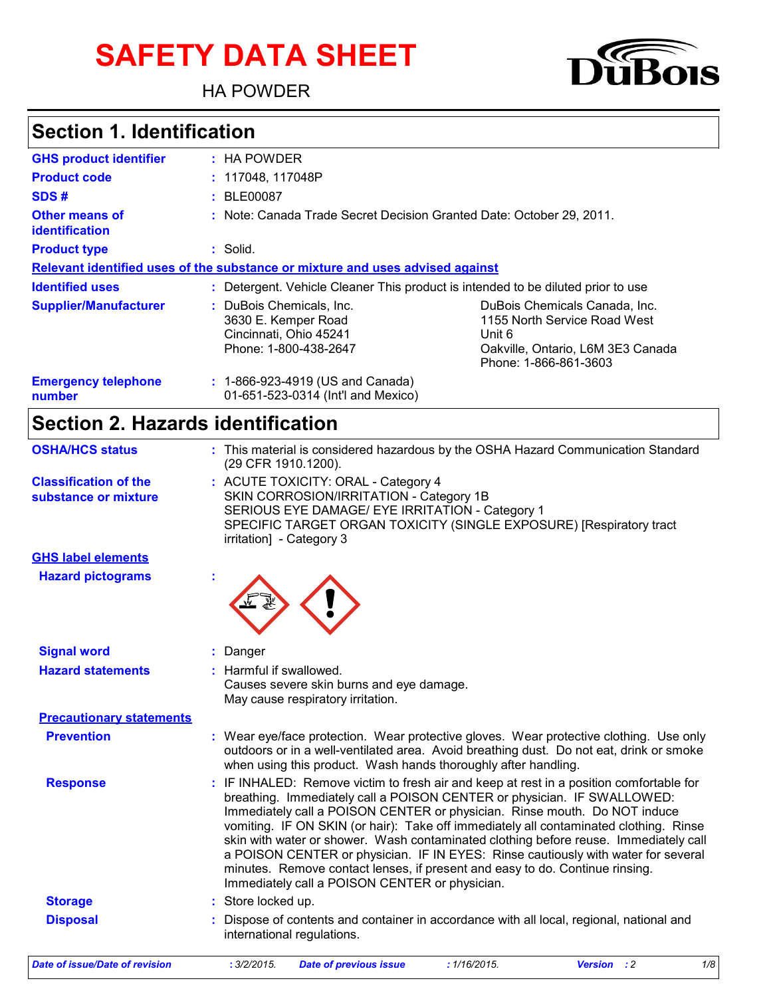# **SAFETY DATA SHEET**

HA POWDER



## **Section 1. Identification**

| <b>GHS product identifier</b>           | : HA POWDER                                                                                        |                                                                                                                                       |
|-----------------------------------------|----------------------------------------------------------------------------------------------------|---------------------------------------------------------------------------------------------------------------------------------------|
| <b>Product code</b>                     | : 117048, 117048P                                                                                  |                                                                                                                                       |
| SDS#                                    | : BLE00087                                                                                         |                                                                                                                                       |
| Other means of<br><i>identification</i> | : Note: Canada Trade Secret Decision Granted Date: October 29, 2011.                               |                                                                                                                                       |
| <b>Product type</b>                     | : Solid.                                                                                           |                                                                                                                                       |
|                                         | Relevant identified uses of the substance or mixture and uses advised against                      |                                                                                                                                       |
| <b>Identified uses</b>                  |                                                                                                    | : Detergent. Vehicle Cleaner This product is intended to be diluted prior to use                                                      |
| <b>Supplier/Manufacturer</b>            | : DuBois Chemicals, Inc.<br>3630 E. Kemper Road<br>Cincinnati, Ohio 45241<br>Phone: 1-800-438-2647 | DuBois Chemicals Canada, Inc.<br>1155 North Service Road West<br>Unit 6<br>Oakville, Ontario, L6M 3E3 Canada<br>Phone: 1-866-861-3603 |
| <b>Emergency telephone</b><br>number    | : 1-866-923-4919 (US and Canada)<br>01-651-523-0314 (Int'l and Mexico)                             |                                                                                                                                       |

## **Section 2. Hazards identification**

| <b>OSHA/HCS status</b>                               | : This material is considered hazardous by the OSHA Hazard Communication Standard<br>(29 CFR 1910.1200).                                                                                                                                                                                                                                                                                                                                                                                                                                                                                                                                              |
|------------------------------------------------------|-------------------------------------------------------------------------------------------------------------------------------------------------------------------------------------------------------------------------------------------------------------------------------------------------------------------------------------------------------------------------------------------------------------------------------------------------------------------------------------------------------------------------------------------------------------------------------------------------------------------------------------------------------|
| <b>Classification of the</b><br>substance or mixture | : ACUTE TOXICITY: ORAL - Category 4<br>SKIN CORROSION/IRRITATION - Category 1B<br>SERIOUS EYE DAMAGE/ EYE IRRITATION - Category 1<br>SPECIFIC TARGET ORGAN TOXICITY (SINGLE EXPOSURE) [Respiratory tract<br>irritation] - Category 3                                                                                                                                                                                                                                                                                                                                                                                                                  |
| <b>GHS label elements</b>                            |                                                                                                                                                                                                                                                                                                                                                                                                                                                                                                                                                                                                                                                       |
| <b>Hazard pictograms</b>                             |                                                                                                                                                                                                                                                                                                                                                                                                                                                                                                                                                                                                                                                       |
| <b>Signal word</b>                                   | Danger                                                                                                                                                                                                                                                                                                                                                                                                                                                                                                                                                                                                                                                |
| <b>Hazard statements</b>                             | : Harmful if swallowed.<br>Causes severe skin burns and eye damage.<br>May cause respiratory irritation.                                                                                                                                                                                                                                                                                                                                                                                                                                                                                                                                              |
| <b>Precautionary statements</b>                      |                                                                                                                                                                                                                                                                                                                                                                                                                                                                                                                                                                                                                                                       |
| <b>Prevention</b>                                    | : Wear eye/face protection. Wear protective gloves. Wear protective clothing. Use only<br>outdoors or in a well-ventilated area. Avoid breathing dust. Do not eat, drink or smoke<br>when using this product. Wash hands thoroughly after handling.                                                                                                                                                                                                                                                                                                                                                                                                   |
| <b>Response</b>                                      | IF INHALED: Remove victim to fresh air and keep at rest in a position comfortable for<br>breathing. Immediately call a POISON CENTER or physician. IF SWALLOWED:<br>Immediately call a POISON CENTER or physician. Rinse mouth. Do NOT induce<br>vomiting. IF ON SKIN (or hair): Take off immediately all contaminated clothing. Rinse<br>skin with water or shower. Wash contaminated clothing before reuse. Immediately call<br>a POISON CENTER or physician. IF IN EYES: Rinse cautiously with water for several<br>minutes. Remove contact lenses, if present and easy to do. Continue rinsing.<br>Immediately call a POISON CENTER or physician. |
| <b>Storage</b>                                       | : Store locked up.                                                                                                                                                                                                                                                                                                                                                                                                                                                                                                                                                                                                                                    |
| <b>Disposal</b>                                      | Dispose of contents and container in accordance with all local, regional, national and<br>international regulations.                                                                                                                                                                                                                                                                                                                                                                                                                                                                                                                                  |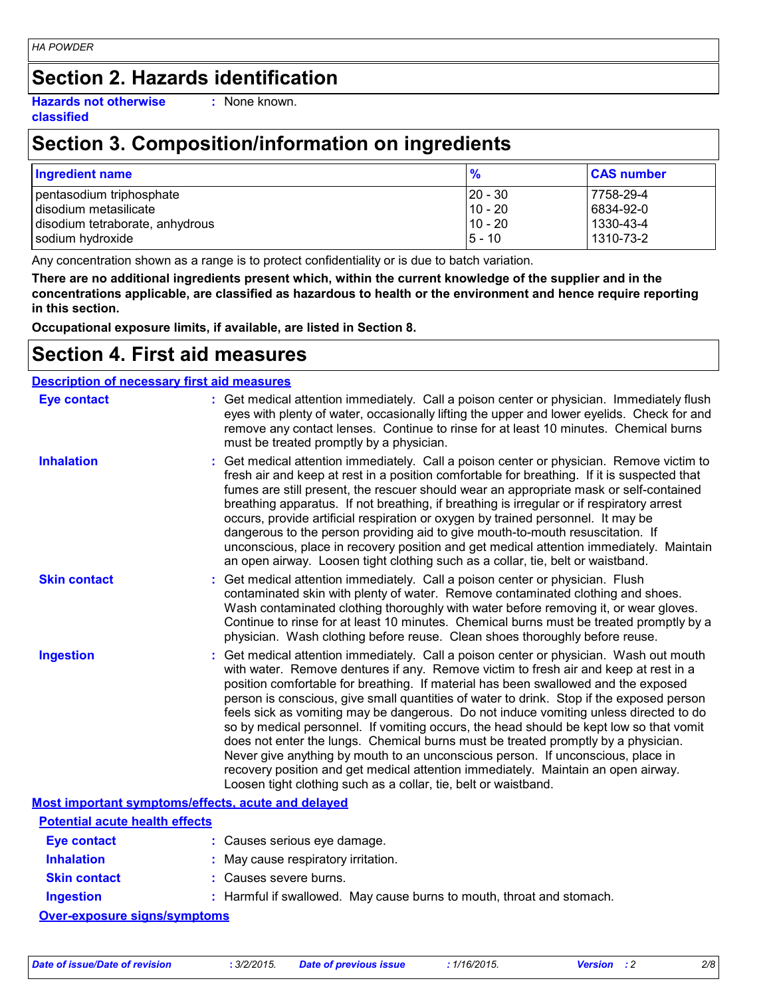## **Section 2. Hazards identification**

**Hazards not otherwise classified**

**:** None known.

## **Section 3. Composition/information on ingredients**

| <b>Ingredient name</b>          | $\frac{9}{6}$ | <b>CAS number</b> |
|---------------------------------|---------------|-------------------|
| pentasodium triphosphate        | $ 20 - 30 $   | 7758-29-4         |
| disodium metasilicate           | $10 - 20$     | 6834-92-0         |
| disodium tetraborate, anhydrous | $10 - 20$     | 1330-43-4         |
| sodium hydroxide                | $15 - 10$     | 1310-73-2         |

Any concentration shown as a range is to protect confidentiality or is due to batch variation.

**There are no additional ingredients present which, within the current knowledge of the supplier and in the concentrations applicable, are classified as hazardous to health or the environment and hence require reporting in this section.**

**Occupational exposure limits, if available, are listed in Section 8.**

#### **Section 4. First aid measures**

#### **Description of necessary first aid measures**

| <b>Eye contact</b>                                 | : Get medical attention immediately. Call a poison center or physician. Immediately flush<br>eyes with plenty of water, occasionally lifting the upper and lower eyelids. Check for and<br>remove any contact lenses. Continue to rinse for at least 10 minutes. Chemical burns<br>must be treated promptly by a physician.                                                                                                                                                                                                                                                                                                                                                                                                                                                                                                                                                         |
|----------------------------------------------------|-------------------------------------------------------------------------------------------------------------------------------------------------------------------------------------------------------------------------------------------------------------------------------------------------------------------------------------------------------------------------------------------------------------------------------------------------------------------------------------------------------------------------------------------------------------------------------------------------------------------------------------------------------------------------------------------------------------------------------------------------------------------------------------------------------------------------------------------------------------------------------------|
| <b>Inhalation</b>                                  | : Get medical attention immediately. Call a poison center or physician. Remove victim to<br>fresh air and keep at rest in a position comfortable for breathing. If it is suspected that<br>fumes are still present, the rescuer should wear an appropriate mask or self-contained<br>breathing apparatus. If not breathing, if breathing is irregular or if respiratory arrest<br>occurs, provide artificial respiration or oxygen by trained personnel. It may be<br>dangerous to the person providing aid to give mouth-to-mouth resuscitation. If<br>unconscious, place in recovery position and get medical attention immediately. Maintain<br>an open airway. Loosen tight clothing such as a collar, tie, belt or waistband.                                                                                                                                                  |
| <b>Skin contact</b>                                | : Get medical attention immediately. Call a poison center or physician. Flush<br>contaminated skin with plenty of water. Remove contaminated clothing and shoes.<br>Wash contaminated clothing thoroughly with water before removing it, or wear gloves.<br>Continue to rinse for at least 10 minutes. Chemical burns must be treated promptly by a<br>physician. Wash clothing before reuse. Clean shoes thoroughly before reuse.                                                                                                                                                                                                                                                                                                                                                                                                                                                  |
| <b>Ingestion</b>                                   | : Get medical attention immediately. Call a poison center or physician. Wash out mouth<br>with water. Remove dentures if any. Remove victim to fresh air and keep at rest in a<br>position comfortable for breathing. If material has been swallowed and the exposed<br>person is conscious, give small quantities of water to drink. Stop if the exposed person<br>feels sick as vomiting may be dangerous. Do not induce vomiting unless directed to do<br>so by medical personnel. If vomiting occurs, the head should be kept low so that vomit<br>does not enter the lungs. Chemical burns must be treated promptly by a physician.<br>Never give anything by mouth to an unconscious person. If unconscious, place in<br>recovery position and get medical attention immediately. Maintain an open airway.<br>Loosen tight clothing such as a collar, tie, belt or waistband. |
| Most important symptoms/effects, acute and delayed |                                                                                                                                                                                                                                                                                                                                                                                                                                                                                                                                                                                                                                                                                                                                                                                                                                                                                     |
| <b>Potential acute health effects</b>              |                                                                                                                                                                                                                                                                                                                                                                                                                                                                                                                                                                                                                                                                                                                                                                                                                                                                                     |
| <b>Eye contact</b>                                 | : Causes serious eye damage.                                                                                                                                                                                                                                                                                                                                                                                                                                                                                                                                                                                                                                                                                                                                                                                                                                                        |
| <b>Inhalation</b>                                  | : May cause respiratory irritation.                                                                                                                                                                                                                                                                                                                                                                                                                                                                                                                                                                                                                                                                                                                                                                                                                                                 |
| <b>Skin contact</b>                                | : Causes severe burns.                                                                                                                                                                                                                                                                                                                                                                                                                                                                                                                                                                                                                                                                                                                                                                                                                                                              |
| <b>Ingestion</b>                                   | : Harmful if swallowed. May cause burns to mouth, throat and stomach.                                                                                                                                                                                                                                                                                                                                                                                                                                                                                                                                                                                                                                                                                                                                                                                                               |

**Over-exposure signs/symptoms**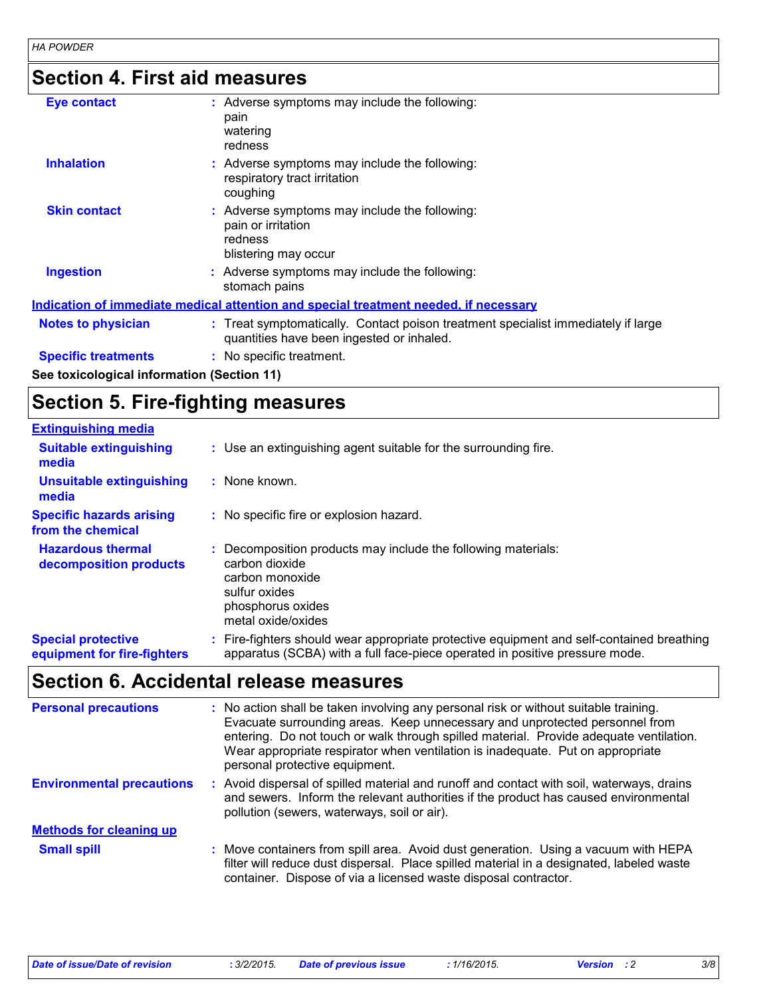## **Section 4. First aid measures**

| Eye contact                                | : Adverse symptoms may include the following:<br>pain<br>watering<br>redness                                                   |
|--------------------------------------------|--------------------------------------------------------------------------------------------------------------------------------|
| <b>Inhalation</b>                          | : Adverse symptoms may include the following:<br>respiratory tract irritation<br>coughing                                      |
| <b>Skin contact</b>                        | : Adverse symptoms may include the following:<br>pain or irritation<br>redness<br>blistering may occur                         |
| <b>Ingestion</b>                           | : Adverse symptoms may include the following:<br>stomach pains                                                                 |
|                                            | Indication of immediate medical attention and special treatment needed, if necessary                                           |
| <b>Notes to physician</b>                  | : Treat symptomatically. Contact poison treatment specialist immediately if large<br>quantities have been ingested or inhaled. |
| <b>Specific treatments</b>                 | : No specific treatment.                                                                                                       |
| See toxicological information (Section 11) |                                                                                                                                |

## **Section 5. Fire-fighting measures**

| <b>Extinguishing media</b>                               |                                                                                                                                                                          |
|----------------------------------------------------------|--------------------------------------------------------------------------------------------------------------------------------------------------------------------------|
| <b>Suitable extinguishing</b><br>media                   | : Use an extinguishing agent suitable for the surrounding fire.                                                                                                          |
| <b>Unsuitable extinguishing</b><br>media                 | : None known.                                                                                                                                                            |
| <b>Specific hazards arising</b><br>from the chemical     | : No specific fire or explosion hazard.                                                                                                                                  |
| <b>Hazardous thermal</b><br>decomposition products       | Decomposition products may include the following materials:<br>carbon dioxide<br>carbon monoxide<br>sulfur oxides<br>phosphorus oxides<br>metal oxide/oxides             |
| <b>Special protective</b><br>equipment for fire-fighters | : Fire-fighters should wear appropriate protective equipment and self-contained breathing<br>apparatus (SCBA) with a full face-piece operated in positive pressure mode. |

## **Section 6. Accidental release measures**

| <b>Personal precautions</b>      | : No action shall be taken involving any personal risk or without suitable training.<br>Evacuate surrounding areas. Keep unnecessary and unprotected personnel from<br>entering. Do not touch or walk through spilled material. Provide adequate ventilation.<br>Wear appropriate respirator when ventilation is inadequate. Put on appropriate<br>personal protective equipment. |
|----------------------------------|-----------------------------------------------------------------------------------------------------------------------------------------------------------------------------------------------------------------------------------------------------------------------------------------------------------------------------------------------------------------------------------|
| <b>Environmental precautions</b> | : Avoid dispersal of spilled material and runoff and contact with soil, waterways, drains<br>and sewers. Inform the relevant authorities if the product has caused environmental<br>pollution (sewers, waterways, soil or air).                                                                                                                                                   |
| <b>Methods for cleaning up</b>   |                                                                                                                                                                                                                                                                                                                                                                                   |
| <b>Small spill</b>               | : Move containers from spill area. Avoid dust generation. Using a vacuum with HEPA<br>filter will reduce dust dispersal. Place spilled material in a designated, labeled waste<br>container. Dispose of via a licensed waste disposal contractor.                                                                                                                                 |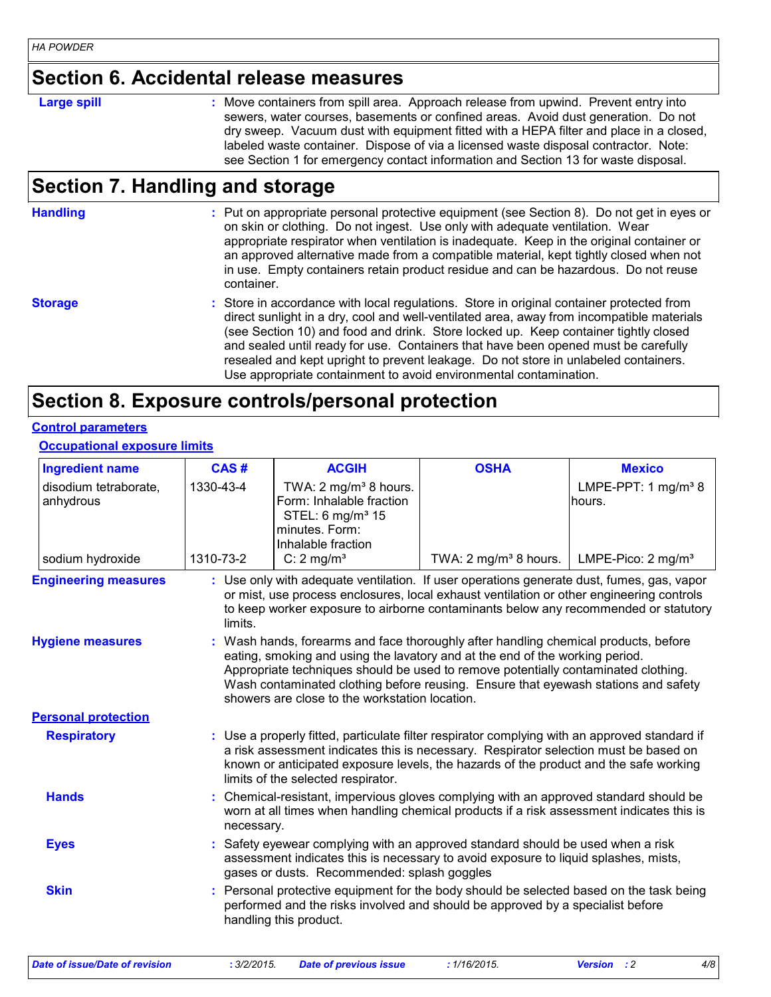#### **Section 6. Accidental release measures**

#### **Large spill :**

Move containers from spill area. Approach release from upwind. Prevent entry into sewers, water courses, basements or confined areas. Avoid dust generation. Do not dry sweep. Vacuum dust with equipment fitted with a HEPA filter and place in a closed, labeled waste container. Dispose of via a licensed waste disposal contractor. Note: see Section 1 for emergency contact information and Section 13 for waste disposal.

#### **Section 7. Handling and storage**

**Handling** entries a metal on appropriate personal protective equipment (see Section 8). Do not get in eyes or and on skin or clothing. Do not ingest. Use only with adequate ventilation. Wear appropriate respirator when ventilation is inadequate. Keep in the original container or an approved alternative made from a compatible material, kept tightly closed when not in use. Empty containers retain product residue and can be hazardous. Do not reuse container.

#### **Storage** Store in accordance with local regulations. Store in original container protected from direct sunlight in a dry, cool and well-ventilated area, away from incompatible materials (see Section 10) and food and drink. Store locked up. Keep container tightly closed and sealed until ready for use. Containers that have been opened must be carefully resealed and kept upright to prevent leakage. Do not store in unlabeled containers. Use appropriate containment to avoid environmental contamination.

#### **Section 8. Exposure controls/personal protection**

#### **Control parameters**

**Occupational exposure limits**

| <b>Ingredient name</b>             | CAS#       | <b>ACGIH</b>                                                                                                                                                                                                                                                                                                                                                                                      | <b>OSHA</b>                      | <b>Mexico</b>                             |
|------------------------------------|------------|---------------------------------------------------------------------------------------------------------------------------------------------------------------------------------------------------------------------------------------------------------------------------------------------------------------------------------------------------------------------------------------------------|----------------------------------|-------------------------------------------|
| disodium tetraborate,<br>anhydrous | 1330-43-4  | TWA: $2 \text{ mg/m}^3$ 8 hours.<br>Form: Inhalable fraction<br>STEL: 6 mg/m <sup>3</sup> 15<br>minutes. Form:<br>Inhalable fraction                                                                                                                                                                                                                                                              |                                  | LMPE-PPT: 1 mg/m <sup>3</sup> 8<br>hours. |
| sodium hydroxide                   | 1310-73-2  | C: $2 \text{ mg/m}^3$                                                                                                                                                                                                                                                                                                                                                                             | TWA: $2 \text{ mg/m}^3$ 8 hours. | LMPE-Pico: $2 \text{ mg/m}^3$             |
| <b>Engineering measures</b>        | limits.    | : Use only with adequate ventilation. If user operations generate dust, fumes, gas, vapor<br>or mist, use process enclosures, local exhaust ventilation or other engineering controls<br>to keep worker exposure to airborne contaminants below any recommended or statutory                                                                                                                      |                                  |                                           |
| <b>Hygiene measures</b>            |            | : Wash hands, forearms and face thoroughly after handling chemical products, before<br>eating, smoking and using the lavatory and at the end of the working period.<br>Appropriate techniques should be used to remove potentially contaminated clothing.<br>Wash contaminated clothing before reusing. Ensure that eyewash stations and safety<br>showers are close to the workstation location. |                                  |                                           |
| <b>Personal protection</b>         |            |                                                                                                                                                                                                                                                                                                                                                                                                   |                                  |                                           |
| <b>Respiratory</b>                 |            | : Use a properly fitted, particulate filter respirator complying with an approved standard if<br>a risk assessment indicates this is necessary. Respirator selection must be based on<br>known or anticipated exposure levels, the hazards of the product and the safe working<br>limits of the selected respirator.                                                                              |                                  |                                           |
| <b>Hands</b>                       | necessary. | Chemical-resistant, impervious gloves complying with an approved standard should be<br>worn at all times when handling chemical products if a risk assessment indicates this is                                                                                                                                                                                                                   |                                  |                                           |
| <b>Eyes</b>                        |            | Safety eyewear complying with an approved standard should be used when a risk<br>assessment indicates this is necessary to avoid exposure to liquid splashes, mists,<br>gases or dusts. Recommended: splash goggles                                                                                                                                                                               |                                  |                                           |
| <b>Skin</b>                        |            | Personal protective equipment for the body should be selected based on the task being<br>performed and the risks involved and should be approved by a specialist before<br>handling this product.                                                                                                                                                                                                 |                                  |                                           |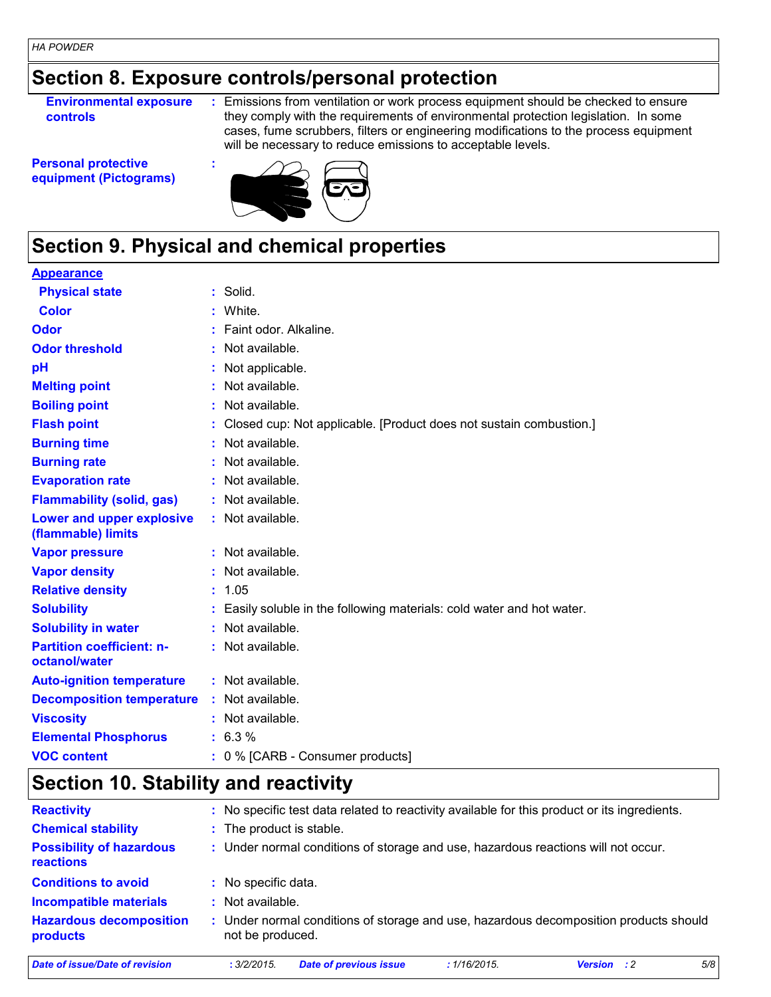## **Section 8. Exposure controls/personal protection**

**Environmental exposure controls**

**:** Emissions from ventilation or work process equipment should be checked to ensure they comply with the requirements of environmental protection legislation. In some cases, fume scrubbers, filters or engineering modifications to the process equipment will be necessary to reduce emissions to acceptable levels.

**Personal protective equipment (Pictograms)**



## **Section 9. Physical and chemical properties**

**:**

#### **Appearance**

| <b>Physical state</b>                             | $:$ Solid.                                                           |
|---------------------------------------------------|----------------------------------------------------------------------|
| Color                                             | White.                                                               |
| Odor                                              | Faint odor, Alkaline.                                                |
| <b>Odor threshold</b>                             | Not available.                                                       |
| pH                                                | Not applicable.                                                      |
| <b>Melting point</b>                              | Not available.                                                       |
| <b>Boiling point</b>                              | Not available.                                                       |
| <b>Flash point</b>                                | Closed cup: Not applicable. [Product does not sustain combustion.]   |
| <b>Burning time</b>                               | Not available.                                                       |
| <b>Burning rate</b>                               | Not available.                                                       |
| <b>Evaporation rate</b>                           | : Not available.                                                     |
| <b>Flammability (solid, gas)</b>                  | : Not available.                                                     |
| Lower and upper explosive<br>(flammable) limits   | : Not available.                                                     |
| <b>Vapor pressure</b>                             | Not available.                                                       |
| <b>Vapor density</b>                              | : Not available.                                                     |
| <b>Relative density</b>                           | 1.05                                                                 |
| <b>Solubility</b>                                 | Easily soluble in the following materials: cold water and hot water. |
| <b>Solubility in water</b>                        | Not available.                                                       |
| <b>Partition coefficient: n-</b><br>octanol/water | : Not available.                                                     |
| <b>Auto-ignition temperature</b>                  | : Not available.                                                     |
| <b>Decomposition temperature</b>                  | : Not available.                                                     |
| <b>Viscosity</b>                                  | Not available.                                                       |
| <b>Elemental Phosphorus</b>                       | 6.3%                                                                 |
| <b>VOC content</b>                                | 0 % [CARB - Consumer products]                                       |

#### **Section 10. Stability and reactivity**

| <b>Reactivity</b>                                   |                          | : No specific test data related to reactivity available for this product or its ingredients. |              |                    |     |
|-----------------------------------------------------|--------------------------|----------------------------------------------------------------------------------------------|--------------|--------------------|-----|
| <b>Chemical stability</b>                           | : The product is stable. |                                                                                              |              |                    |     |
| <b>Possibility of hazardous</b><br><b>reactions</b> |                          | : Under normal conditions of storage and use, hazardous reactions will not occur.            |              |                    |     |
| <b>Conditions to avoid</b>                          | : No specific data.      |                                                                                              |              |                    |     |
| <b>Incompatible materials</b>                       | $:$ Not available.       |                                                                                              |              |                    |     |
| <b>Hazardous decomposition</b><br>products          | not be produced.         | : Under normal conditions of storage and use, hazardous decomposition products should        |              |                    |     |
| <b>Date of issue/Date of revision</b>               | : 3/2/2015               | <b>Date of previous issue</b>                                                                | : 1/16/2015. | <b>Version</b> : 2 | 5/8 |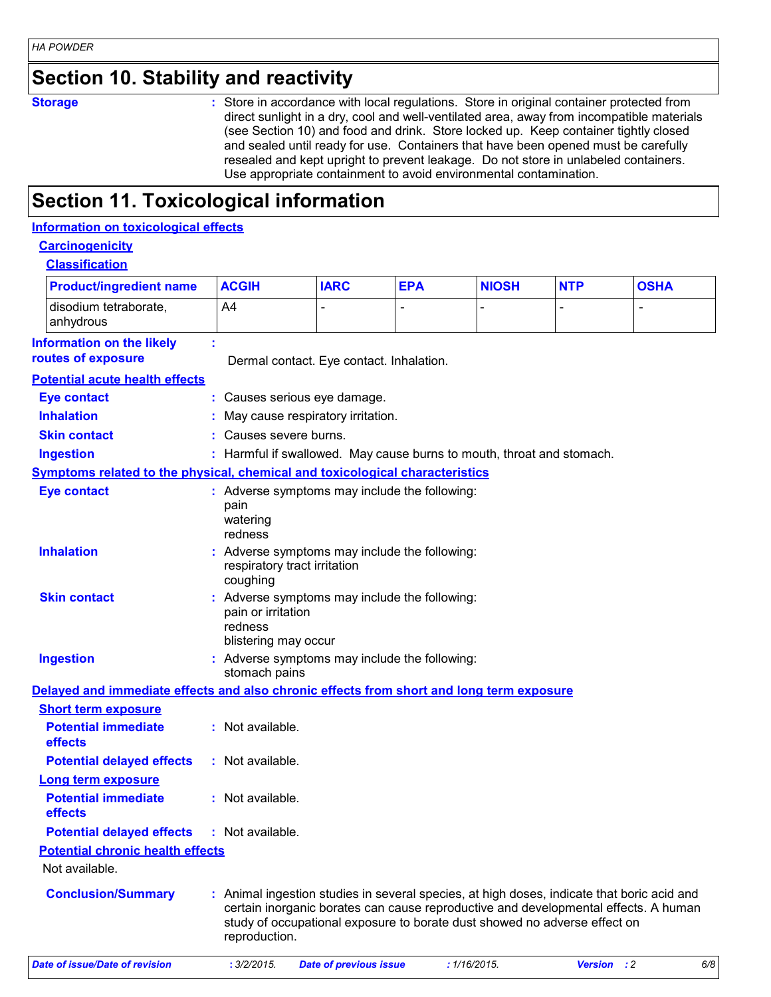## **Section 10. Stability and reactivity**

**Storage :** Store in accordance with local regulations. Store in original container protected from direct sunlight in a dry, cool and well-ventilated area, away from incompatible materials (see Section 10) and food and drink. Store locked up. Keep container tightly closed and sealed until ready for use. Containers that have been opened must be carefully resealed and kept upright to prevent leakage. Do not store in unlabeled containers. Use appropriate containment to avoid environmental contamination.

## **Section 11. Toxicological information**

#### **Information on toxicological effects**

#### **Carcinogenicity**

| <b>Classification</b> |  |
|-----------------------|--|
|-----------------------|--|

| <b>Product/ingredient name</b>                                                           | <b>ACGIH</b>                                                                                                                                                                                                                                                                    | <b>IARC</b>                   | <b>EPA</b>   | <b>NIOSH</b> | <b>NTP</b>  | <b>OSHA</b> |
|------------------------------------------------------------------------------------------|---------------------------------------------------------------------------------------------------------------------------------------------------------------------------------------------------------------------------------------------------------------------------------|-------------------------------|--------------|--------------|-------------|-------------|
| disodium tetraborate,<br>anhydrous                                                       | A4                                                                                                                                                                                                                                                                              |                               |              |              |             |             |
| <b>Information on the likely</b><br>routes of exposure                                   | Dermal contact. Eye contact. Inhalation.                                                                                                                                                                                                                                        |                               |              |              |             |             |
| <b>Potential acute health effects</b>                                                    |                                                                                                                                                                                                                                                                                 |                               |              |              |             |             |
| <b>Eye contact</b>                                                                       | : Causes serious eye damage.                                                                                                                                                                                                                                                    |                               |              |              |             |             |
| <b>Inhalation</b>                                                                        | May cause respiratory irritation.                                                                                                                                                                                                                                               |                               |              |              |             |             |
| <b>Skin contact</b>                                                                      | : Causes severe burns.                                                                                                                                                                                                                                                          |                               |              |              |             |             |
| <b>Ingestion</b>                                                                         | : Harmful if swallowed. May cause burns to mouth, throat and stomach.                                                                                                                                                                                                           |                               |              |              |             |             |
| <b>Symptoms related to the physical, chemical and toxicological characteristics</b>      |                                                                                                                                                                                                                                                                                 |                               |              |              |             |             |
| <b>Eye contact</b>                                                                       | : Adverse symptoms may include the following:<br>pain<br>watering<br>redness                                                                                                                                                                                                    |                               |              |              |             |             |
| <b>Inhalation</b>                                                                        | Adverse symptoms may include the following:<br>respiratory tract irritation<br>coughing                                                                                                                                                                                         |                               |              |              |             |             |
| <b>Skin contact</b>                                                                      | Adverse symptoms may include the following:<br>pain or irritation<br>redness<br>blistering may occur                                                                                                                                                                            |                               |              |              |             |             |
| <b>Ingestion</b>                                                                         | Adverse symptoms may include the following:<br>stomach pains                                                                                                                                                                                                                    |                               |              |              |             |             |
| Delayed and immediate effects and also chronic effects from short and long term exposure |                                                                                                                                                                                                                                                                                 |                               |              |              |             |             |
| <b>Short term exposure</b>                                                               |                                                                                                                                                                                                                                                                                 |                               |              |              |             |             |
| <b>Potential immediate</b><br>effects                                                    | : Not available.                                                                                                                                                                                                                                                                |                               |              |              |             |             |
| <b>Potential delayed effects</b>                                                         | : Not available.                                                                                                                                                                                                                                                                |                               |              |              |             |             |
| <b>Long term exposure</b>                                                                |                                                                                                                                                                                                                                                                                 |                               |              |              |             |             |
| <b>Potential immediate</b><br>effects                                                    | : Not available.                                                                                                                                                                                                                                                                |                               |              |              |             |             |
| <b>Potential delayed effects</b>                                                         | : Not available.                                                                                                                                                                                                                                                                |                               |              |              |             |             |
| <b>Potential chronic health effects</b>                                                  |                                                                                                                                                                                                                                                                                 |                               |              |              |             |             |
| Not available.                                                                           |                                                                                                                                                                                                                                                                                 |                               |              |              |             |             |
| <b>Conclusion/Summary</b>                                                                | : Animal ingestion studies in several species, at high doses, indicate that boric acid and<br>certain inorganic borates can cause reproductive and developmental effects. A human<br>study of occupational exposure to borate dust showed no adverse effect on<br>reproduction. |                               |              |              |             |             |
| <b>Date of issue/Date of revision</b>                                                    | : 3/2/2015.                                                                                                                                                                                                                                                                     | <b>Date of previous issue</b> | : 1/16/2015. |              | Version : 2 | 6/8         |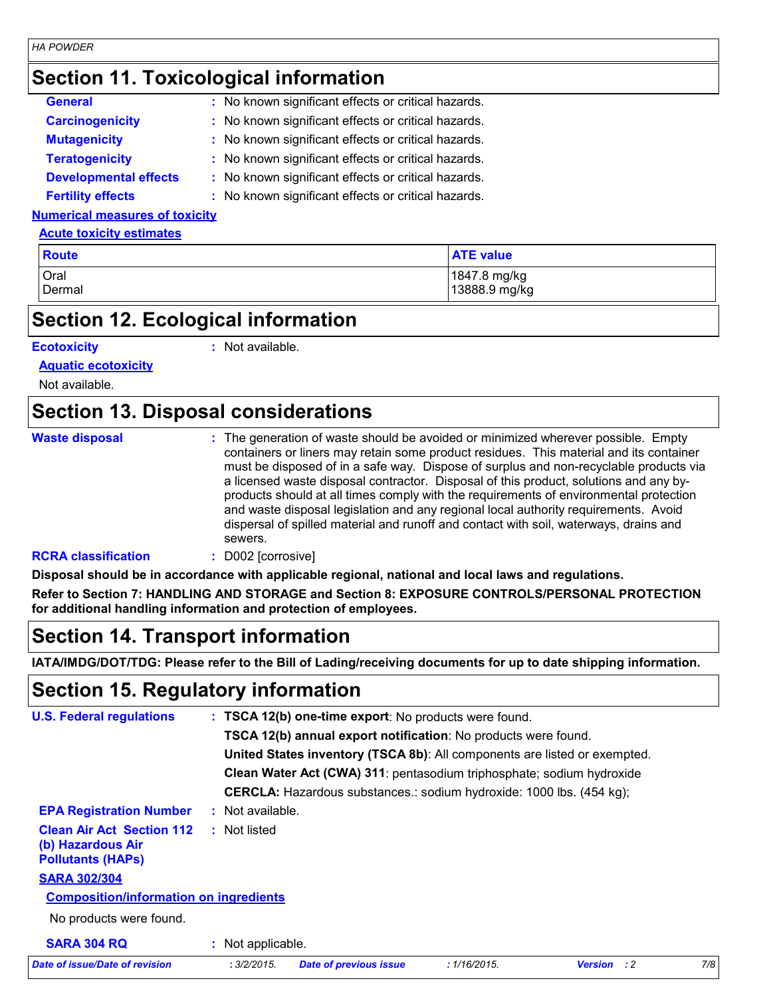#### *HA POWDER*

#### **Section 11. Toxicological information**

| <b>General</b>                        | : No known significant effects or critical hazards. |
|---------------------------------------|-----------------------------------------------------|
| <b>Carcinogenicity</b>                | : No known significant effects or critical hazards. |
| <b>Mutagenicity</b>                   | : No known significant effects or critical hazards. |
| <b>Teratogenicity</b>                 | : No known significant effects or critical hazards. |
| <b>Developmental effects</b>          | : No known significant effects or critical hazards. |
| <b>Fertility effects</b>              | : No known significant effects or critical hazards. |
| <b>Numerical measures of toxicity</b> |                                                     |

#### **Acute toxicity estimates**

| <b>Route</b> | <b>ATE</b> value |
|--------------|------------------|
| Oral         | 1847.8 mg/kg     |
| Dermal       | 13888.9 mg/kg    |

## **Section 12. Ecological information**

#### **Ecotoxicity :**

: Not available.

**Aquatic ecotoxicity**

Not available.

#### **Section 13. Disposal considerations**

| <b>Waste disposal</b>      | : The generation of waste should be avoided or minimized wherever possible. Empty<br>containers or liners may retain some product residues. This material and its container<br>must be disposed of in a safe way. Dispose of surplus and non-recyclable products via<br>a licensed waste disposal contractor. Disposal of this product, solutions and any by-<br>products should at all times comply with the requirements of environmental protection<br>and waste disposal legislation and any regional local authority requirements. Avoid<br>dispersal of spilled material and runoff and contact with soil, waterways, drains and<br>sewers. |
|----------------------------|---------------------------------------------------------------------------------------------------------------------------------------------------------------------------------------------------------------------------------------------------------------------------------------------------------------------------------------------------------------------------------------------------------------------------------------------------------------------------------------------------------------------------------------------------------------------------------------------------------------------------------------------------|
| <b>RCRA classification</b> | D002 [corrosive]                                                                                                                                                                                                                                                                                                                                                                                                                                                                                                                                                                                                                                  |

**Disposal should be in accordance with applicable regional, national and local laws and regulations.**

**Refer to Section 7: HANDLING AND STORAGE and Section 8: EXPOSURE CONTROLS/PERSONAL PROTECTION for additional handling information and protection of employees.**

#### **Section 14. Transport information**

**IATA/IMDG/DOT/TDG: Please refer to the Bill of Lading/receiving documents for up to date shipping information.**

#### **Section 15. Regulatory information**

| <b>U.S. Federal regulations</b>                                                   |                   | : TSCA 12(b) one-time export: No products were found.                                                                                                                                                                       |              |                    |     |
|-----------------------------------------------------------------------------------|-------------------|-----------------------------------------------------------------------------------------------------------------------------------------------------------------------------------------------------------------------------|--------------|--------------------|-----|
|                                                                                   |                   |                                                                                                                                                                                                                             |              |                    |     |
|                                                                                   |                   | <b>TSCA 12(b) annual export notification:</b> No products were found.<br>United States inventory (TSCA 8b): All components are listed or exempted.<br>Clean Water Act (CWA) 311: pentasodium triphosphate; sodium hydroxide |              |                    |     |
|                                                                                   |                   |                                                                                                                                                                                                                             |              |                    |     |
|                                                                                   |                   |                                                                                                                                                                                                                             |              |                    |     |
|                                                                                   |                   | <b>CERCLA:</b> Hazardous substances.: sodium hydroxide: 1000 lbs. (454 kg);                                                                                                                                                 |              |                    |     |
| <b>EPA Registration Number</b>                                                    | : Not available.  |                                                                                                                                                                                                                             |              |                    |     |
| <b>Clean Air Act Section 112</b><br>(b) Hazardous Air<br><b>Pollutants (HAPs)</b> | : Not listed      |                                                                                                                                                                                                                             |              |                    |     |
| <b>SARA 302/304</b>                                                               |                   |                                                                                                                                                                                                                             |              |                    |     |
| <b>Composition/information on ingredients</b>                                     |                   |                                                                                                                                                                                                                             |              |                    |     |
| No products were found.                                                           |                   |                                                                                                                                                                                                                             |              |                    |     |
| <b>SARA 304 RQ</b>                                                                | : Not applicable. |                                                                                                                                                                                                                             |              |                    |     |
| Date of issue/Date of revision                                                    | : 3/2/2015.       | <b>Date of previous issue</b>                                                                                                                                                                                               | : 1/16/2015. | <b>Version</b> : 2 | 7/8 |